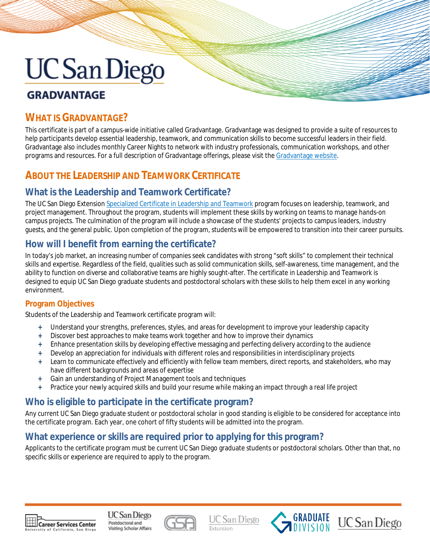# **GRADVANTAGE**

## **WHAT IS GRADVANTAGE?**

This certificate is part of a campus-wide initiative called Gradvantage. Gradvantage was designed to provide a suite of resources to help participants develop essential leadership, teamwork, and communication skills to become successful leaders in their field. Gradvantage also includes monthly Career Nights to network with industry professionals, communication workshops, and other programs and resources. For a full description of Gradvantage offerings, please visit th[e Gradvantage website.](https://gradlife.ucsd.edu/academic-professional/career-development/grAdvantage/index.html)

## **ABOUT THE LEADERSHIP AND TEAMWORK CERTIFICATE**

#### **What is the Leadership and Teamwork Certificate?**

The UC San Diego Extensio[n Specialized Certificate in Leadership and Teamwork](https://extension.ucsd.edu/courses-and-programs/leadership-and-teamwork?utm_source=faq&utm_medium=pdf&utm_campaign=bst-leadership-and-teamwork) program focuses on leadership, teamwork, and project management. Throughout the program, students will implement these skills by working on teams to manage hands-on campus projects. The culmination of the program will include a showcase of the students' projects to campus leaders, industry guests, and the general public. Upon completion of the program, students will be empowered to transition into their career pursuits.

#### **How will I benefit from earning the certificate?**

In today's job market, an increasing number of companies seek candidates with strong "soft skills" to complement their technical skills and expertise. Regardless of the field, qualities such as solid communication skills, self-awareness, time management, and the ability to function on diverse and collaborative teams are highly sought-after. The certificate in Leadership and Teamwork is designed to equip UC San Diego graduate students and postdoctoral scholars with these skills to help them excel in any working environment.

#### **Program Objectives**

Students of the Leadership and Teamwork certificate program will:

- **+** Understand your strengths, preferences, styles, and areas for development to improve your leadership capacity
- **+** Discover best approaches to make teams work together and how to improve their dynamics
- **+** Enhance presentation skills by developing effective messaging and perfecting delivery according to the audience
- **+** Develop an appreciation for individuals with different roles and responsibilities in interdisciplinary projects
- **+** Learn to communicate effectively and efficiently with fellow team members, direct reports, and stakeholders, who may have different backgrounds and areas of expertise
- **+** Gain an understanding of Project Management tools and techniques
- **+** Practice your newly acquired skills and build your resume while making an impact through a real life project

### **Who is eligible to participate in the certificate program?**

Any current UC San Diego graduate student or postdoctoral scholar in good standing is eligible to be considered for acceptance into the certificate program. Each year, one cohort of fifty students will be admitted into the program.

#### **What experience or skills are required prior to applying for this program?**

Applicants to the certificate program must be current UC San Diego graduate students or postdoctoral scholars. Other than that, no specific skills or experience are required to apply to the program.



UC San Diego Postdoctoral and Visiting Scholar Affairs



**UC** San Diego



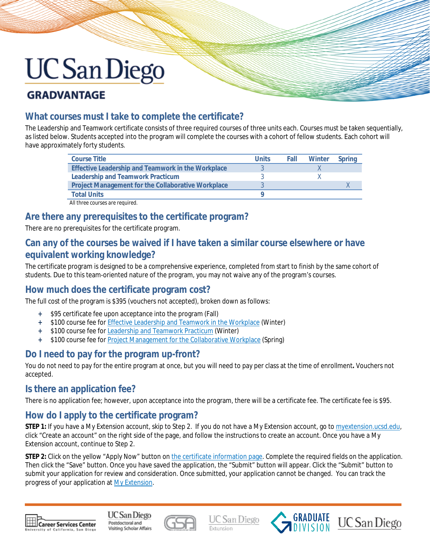# **GRADVANTAGE**

### **What courses must I take to complete the certificate?**

The Leadership and Teamwork certificate consists of three required courses of three units each. Courses must be taken sequentially, as listed below. Students accepted into the program will complete the courses with a cohort of fellow students. Each cohort will have approximately forty students.

| <b>Course Title</b>                                       | <b>Units</b> | Fall | Winter | Spring |
|-----------------------------------------------------------|--------------|------|--------|--------|
| Effective Leadership and Teamwork in the Workplace        |              |      |        |        |
| <b>Leadership and Teamwork Practicum</b>                  |              |      |        |        |
| <b>Project Management for the Collaborative Workplace</b> |              |      |        |        |
| <b>Total Units</b>                                        |              |      |        |        |
| All three courses are required.                           |              |      |        |        |

#### **Are there any prerequisites to the certificate program?**

There are no prerequisites for the certificate program.

#### **Can any of the courses be waived if I have taken a similar course elsewhere or have equivalent working knowledge?**

The certificate program is designed to be a comprehensive experience, completed from start to finish by the same cohort of students. Due to this team-oriented nature of the program, you may not waive any of the program's courses.

#### **How much does the certificate program cost?**

The full cost of the program is \$395 (vouchers not accepted), broken down as follows:

- **+** \$95 certificate fee upon acceptance into the program (Fall)
- **+** \$100 course fee fo[r Effective Leadership and Teamwork in the Workplace](https://extension.ucsd.edu/courses-and-programs/effective-leadership-and-teamwork-in-the-workplace?utm_source=faq&utm_medium=pdf&utm_campaign=bst-leadership-and-teamwork) (Winter)
- **+** \$100 course fee fo[r Leadership and Teamwork Practicum](https://extension.ucsd.edu/courses-and-programs/leadership-and-teamwork-practicum?utm_source=faq&utm_medium=pdf&utm_campaign=bst-leadership-and-teamwork) (Winter)
- **+** \$100 course fee fo[r Project Management for the Collaborative Workplace](https://extension.ucsd.edu/courses-and-programs/project-management-for-the-collaborative-workplace?utm_source=faq&utm_medium=pdf&utm_campaign=bst-leadership-and-teamwork) (Spring)

### **Do I need to pay for the program up-front?**

You do not need to pay for the entire program at once, but you will need to pay per class at the time of enrollment**.** Vouchers not accepted.

#### **Is there an application fee?**

There is no application fee; however, upon acceptance into the program, there will be a certificate fee. The certificate fee is \$95.

#### **How do I apply to the certificate program?**

**STEP 1:** If you have a My Extension account, skip to Step 2. If you do not have a My Extension account, go t[o myextension.ucsd.edu,](https://myextension.ucsd.edu/) click "Create an account" on the right side of the page, and follow the instructions to create an account. Once you have a My Extension account, continue to Step 2.

**STEP 2:** Click on the yellow "Apply Now" button o[n the certificate information page.](https://extension.ucsd.edu/courses-and-programs/leadership-and-teamwork?utm_source=faq&utm_medium=pdf&utm_campaign=bst-leadership-and-teamwork) Complete the required fields on the application. Then click the "Save" button. Once you have saved the application, the "Submit" button will appear. Click the "Submit" button to submit your application for review and consideration. Once submitted, your application cannot be changed. You can track the progress of your application a[t My Extension.](https://myextension.ucsd.edu/)



UC San Diego Postdoctoral and Visiting Scholar Affairs



**UC** San Diego



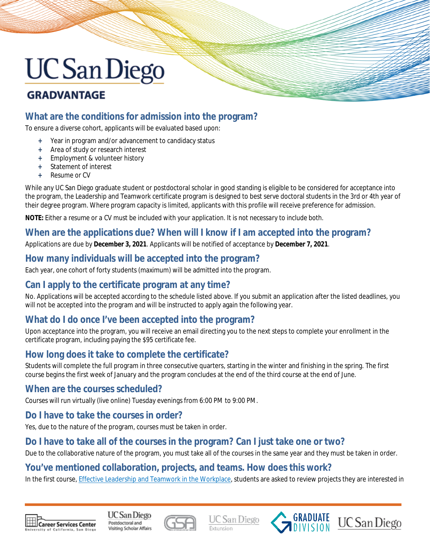## **GRADVANTAGE**

### **What are the conditions for admission into the program?**

To ensure a diverse cohort, applicants will be evaluated based upon:

- **+** Year in program and/or advancement to candidacy status
- **+** Area of study or research interest
- **+** Employment & volunteer history
- **Statement of interest**
- **+** Resume or CV

While any UC San Diego graduate student or postdoctoral scholar in good standing is eligible to be considered for acceptance into the program, the Leadership and Teamwork certificate program is designed to best serve doctoral students in the 3rd or 4th year of their degree program. Where program capacity is limited, applicants with this profile will receive preference for admission.

**NOTE:** *Either a resume* or *a CV must be included with your application. It is not necessary to include both.*

#### **When are the applications due? When will I know if I am accepted into the program?**

Applications are due by **December 3, 2021**. Applicants will be notified of acceptance by **December 7, 2021**.

#### **How many individuals will be accepted into the program?**

Each year, one cohort of forty students (maximum) will be admitted into the program.

#### **Can I apply to the certificate program at any time?**

No. Applications will be accepted according to the schedule listed above. If you submit an application after the listed deadlines, you will not be accepted into the program and will be instructed to apply again the following year.

### **What do I do once I've been accepted into the program?**

Upon acceptance into the program, you will receive an email directing you to the next steps to complete your enrollment in the certificate program, including paying the \$95 certificate fee.

### **How long does it take to complete the certificate?**

Students will complete the full program in three consecutive quarters, starting in the winter and finishing in the spring. The first course begins the first week of January and the program concludes at the end of the third course at the end of June.

#### **When are the courses scheduled?**

Courses will run virtually (live online) Tuesday evenings from 6:00 PM to 9:00 PM.

#### **Do I have to take the courses in order?**

Yes, due to the nature of the program, courses must be taken in order.

#### **Do I have to take all of the courses in the program? Can I just take one or two?**

Due to the collaborative nature of the program, you must take all of the courses in the same year and they must be taken in order.

#### **You've mentioned collaboration, projects, and teams. How does this work?**

In the first course, [Effective Leadership and Teamwork in the Workplace,](https://extension.ucsd.edu/courses-and-programs/effective-leadership-and-teamwork-in-the-workplace?utm_source=faq&utm_medium=pdf&utm_campaign=bst-leadership-and-teamwork) students are asked to review projects they are interested in



**UC** San Diego Postdoctoral and Visiting Scholar Affairs



UC San Diego



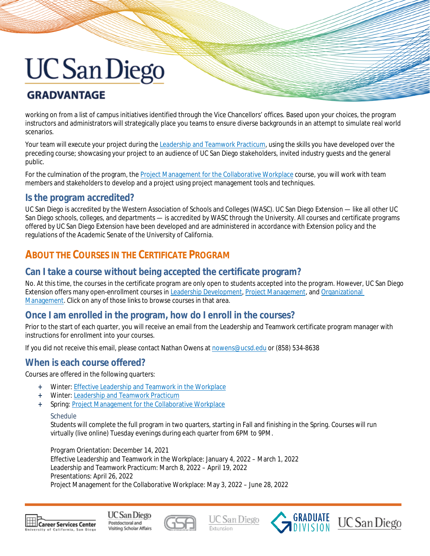# **GRADVANTAGE**

working on from a list of campus initiatives identified through the Vice Chancellors' offices. Based upon your choices, the program instructors and administrators will strategically place you teams to ensure diverse backgrounds in an attempt to simulate real world scenarios.

Your team will execute your project during the [Leadership and Teamwork Practicum,](https://extension.ucsd.edu/courses-and-programs/leadership-and-teamwork-practicum?utm_source=faq&utm_medium=pdf&utm_campaign=bst-leadership-and-teamwork) using the skills you have developed over the preceding course; showcasing your project to an audience of UC San Diego stakeholders, invited industry guests and the general public.

For the culmination of the program, the [Project Management for the Collaborative Workplace](https://extension.ucsd.edu/courses-and-programs/project-management-for-the-collaborative-workplace?utm_source=faq&utm_medium=pdf&utm_campaign=bst-leadership-and-teamwork) course, you will work with team members and stakeholders to develop and a project using project management tools and techniques.

#### **Is the program accredited?**

UC San Diego is accredited by the Western Association of Schools and Colleges (WASC). UC San Diego Extension — like all other UC San Diego schools, colleges, and departments — is accredited by WASC through the University. All courses and certificate programs offered by UC San Diego Extension have been developed and are administered in accordance with Extension policy and the regulations of the Academic Senate of the University of California.

## **ABOUT THE COURSES IN THE CERTIFICATE PROGRAM**

#### **Can I take a course without being accepted the certificate program?**

No. At this time, the courses in the certificate program are *only* open to students accepted into the program. However, UC San Diego Extension offers many open-enrollment courses in [Leadership Development,](https://extension.ucsd.edu/courses-and-programs/leadership-development?utm_source=faq&utm_medium=pdf&utm_campaign=bst-leadership-and-teamwork) [Project Management,](https://extension.ucsd.edu/courses-and-programs/project-management-courses-san-diego?utm_source=faq&utm_medium=pdf&utm_campaign=bst-leadership-and-teamwork) an[d Organizational](https://extension.ucsd.edu/courses-and-programs/organizational-management-courses?utm_source=faq&utm_medium=pdf&utm_campaign=bst-leadership-and-teamwork)  [Management.](https://extension.ucsd.edu/courses-and-programs/organizational-management-courses?utm_source=faq&utm_medium=pdf&utm_campaign=bst-leadership-and-teamwork) Click on any of those links to browse courses in that area.

#### **Once I am enrolled in the program, how do I enroll in the courses?**

Prior to the start of each quarter, you will receive an email from the Leadership and Teamwork certificate program manager with instructions for enrollment into your courses.

If you did not receive this email, please contact Nathan Owens at [nowens@ucsd.edu](mailto:nowens@ucsd.edu) or (858) 534-8638

#### **When is each course offered?**

Courses are offered in the following quarters:

- **+** Winter: [Effective Leadership and Teamwork in the Workplace](https://extension.ucsd.edu/courses-and-programs/effective-leadership-and-teamwork-in-the-workplace?utm_source=faq&utm_medium=pdf&utm_campaign=bst-leadership-and-teamwork)
- **+** Winter: [Leadership and Teamwork Practicum](https://extension.ucsd.edu/courses-and-programs/leadership-and-teamwork-practicum?utm_source=faq&utm_medium=pdf&utm_campaign=bst-leadership-and-teamwork)
- **Spring: [Project Management for the Collaborative Workplace](https://extension.ucsd.edu/courses-and-programs/project-management-for-the-collaborative-workplace?utm_source=faq&utm_medium=pdf&utm_campaign=bst-leadership-and-teamwork)**

Students will complete the full program in two quarters, starting in Fall and finishing in the Spring. Courses will run virtually (live online) Tuesday evenings during each quarter from 6PM to 9PM.

Program Orientation: December 14, 2021 Effective Leadership and Teamwork in the Workplace: January 4, 2022 – March 1, 2022 Leadership and Teamwork Practicum: March 8, 2022 – April 19, 2022 Presentations: April 26, 2022 Project Management for the Collaborative Workplace: May 3, 2022 – June 28, 2022



UC San Diego Postdoctoral and Visiting Scholar Affairs









**Schedule**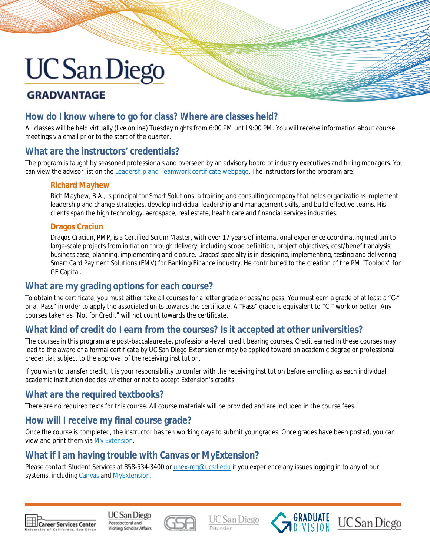# **GRADVANTAGE**

#### **How do I know where to go for class? Where are classes held?**

All classes will be held virtually (live online) Tuesday nights from 6:00 PM until 9:00 PM. You will receive information about course meetings via email prior to the start of the quarter.

#### **What are the instructors' credentials?**

The program is taught by seasoned professionals and overseen by an advisory board of industry executives and hiring managers. You can view the advisor list on the [Leadership and Teamwork](https://extension.ucsd.edu/courses-and-programs/leadership-and-teamwork?utm_source=faq&utm_medium=pdf&utm_campaign=bst-leadership-and-teamwork) certificate webpage. The instructors for the program are:

#### **Richard Mayhew**

Rich Mayhew, B.A., is principal for Smart Solutions, a training and consulting company that helps organizations implement leadership and change strategies, develop individual leadership and management skills, and build effective teams. His clients span the high technology, aerospace, real estate, health care and financial services industries.

#### **Dragos Craciun**

Dragos Craciun, PMP, is a Certified Scrum Master, with over 17 years of international experience coordinating medium to large-scale projects from initiation through delivery, including scope definition, project objectives, cost/benefit analysis, business case, planning, implementing and closure. Dragos' specialty is in designing, implementing, testing and delivering Smart Card Payment Solutions (EMV) for Banking/Finance industry. He contributed to the creation of the PM "Toolbox" for GE Capital.

#### **What are my grading options for each course?**

To obtain the certificate, you must either take all courses for a letter grade or pass/no pass. You must earn a grade of at least a "C-" or a "Pass" in order to apply the associated units towards the certificate. A "Pass" grade is equivalent to "C-" work or better. Any courses taken as "Not for Credit" will not count towards the certificate.

### **What kind of credit do I earn from the courses? Is it accepted at other universities?**

The courses in this program are post-baccalaureate, professional-level, credit bearing courses. Credit earned in these courses may lead to the award of a formal certificate by UC San Diego Extension or may be applied toward an academic degree or professional credential, *subject to the approval of the receiving institution*.

If you wish to transfer credit, it is your responsibility to confer with the receiving institution before enrolling, as each individual academic institution decides whether or not to accept Extension's credits.

#### **What are the required textbooks?**

There are no required texts for this course. All course materials will be provided and are included in the course fees.

#### **How will I receive my final course grade?**

Once the course is completed, the instructor has ten working days to submit your grades. Once grades have been posted, you can view and print them vi[a My Extension.](https://myextension.ucsd.edu/)

#### **What if I am having trouble with Canvas or MyExtension?**

Please contact Student Services at 858-534-3400 or [unex-reg@ucsd.edu](mailto:unex-reg@ucsd.edu) if you experience any issues logging in to any of our systems, includin[g Canvas](https://extensioncanvas.ucsd.edu/) and [MyExtension.](https://myextension.ucsd.edu/)



UC San Diego Postdoctoral and Visiting Scholar Affairs